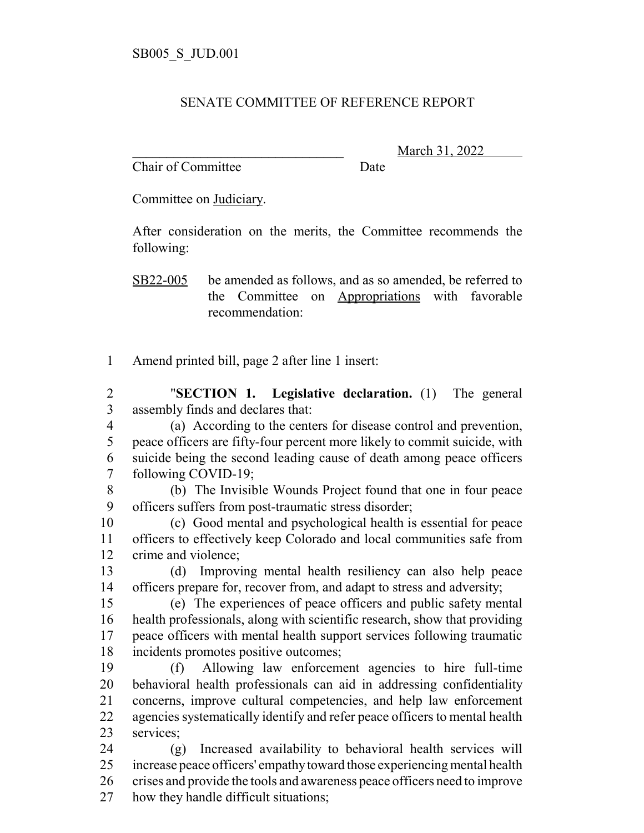## SENATE COMMITTEE OF REFERENCE REPORT

Chair of Committee Date

\_\_\_\_\_\_\_\_\_\_\_\_\_\_\_\_\_\_\_\_\_\_\_\_\_\_\_\_\_\_\_ March 31, 2022

Committee on Judiciary.

After consideration on the merits, the Committee recommends the following:

SB22-005 be amended as follows, and as so amended, be referred to the Committee on Appropriations with favorable recommendation:

Amend printed bill, page 2 after line 1 insert:

 "**SECTION 1. Legislative declaration.** (1) The general assembly finds and declares that:

- (a) According to the centers for disease control and prevention, peace officers are fifty-four percent more likely to commit suicide, with suicide being the second leading cause of death among peace officers following COVID-19;
- (b) The Invisible Wounds Project found that one in four peace officers suffers from post-traumatic stress disorder;

 (c) Good mental and psychological health is essential for peace officers to effectively keep Colorado and local communities safe from crime and violence;

 (d) Improving mental health resiliency can also help peace officers prepare for, recover from, and adapt to stress and adversity;

 (e) The experiences of peace officers and public safety mental health professionals, along with scientific research, show that providing peace officers with mental health support services following traumatic incidents promotes positive outcomes;

 (f) Allowing law enforcement agencies to hire full-time behavioral health professionals can aid in addressing confidentiality concerns, improve cultural competencies, and help law enforcement agencies systematically identify and refer peace officers to mental health services;

 (g) Increased availability to behavioral health services will increase peace officers' empathy toward those experiencing mental health crises and provide the tools and awareness peace officers need to improve how they handle difficult situations;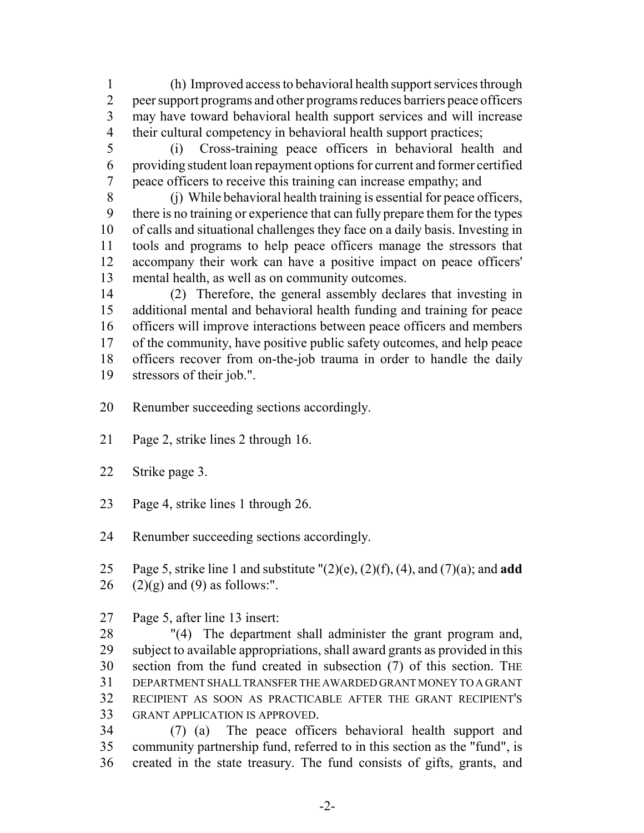(h) Improved access to behavioral health support services through 2 peer support programs and other programs reduces barriers peace officers may have toward behavioral health support services and will increase their cultural competency in behavioral health support practices;

 (i) Cross-training peace officers in behavioral health and providing student loan repayment options for current and former certified peace officers to receive this training can increase empathy; and

 (j) While behavioral health training is essential for peace officers, there is no training or experience that can fully prepare them for the types of calls and situational challenges they face on a daily basis. Investing in tools and programs to help peace officers manage the stressors that accompany their work can have a positive impact on peace officers' mental health, as well as on community outcomes.

 (2) Therefore, the general assembly declares that investing in additional mental and behavioral health funding and training for peace officers will improve interactions between peace officers and members of the community, have positive public safety outcomes, and help peace officers recover from on-the-job trauma in order to handle the daily stressors of their job.".

- Renumber succeeding sections accordingly.
- Page 2, strike lines 2 through 16.
- Strike page 3.
- Page 4, strike lines 1 through 26.

Renumber succeeding sections accordingly.

 Page 5, strike line 1 and substitute "(2)(e), (2)(f), (4), and (7)(a); and **add** 26  $(2)(g)$  and  $(9)$  as follows:".

Page 5, after line 13 insert:

 "(4) The department shall administer the grant program and, subject to available appropriations, shall award grants as provided in this section from the fund created in subsection (7) of this section. THE DEPARTMENT SHALL TRANSFER THE AWARDED GRANT MONEY TO A GRANT RECIPIENT AS SOON AS PRACTICABLE AFTER THE GRANT RECIPIENT'S GRANT APPLICATION IS APPROVED.

 (7) (a) The peace officers behavioral health support and community partnership fund, referred to in this section as the "fund", is created in the state treasury. The fund consists of gifts, grants, and